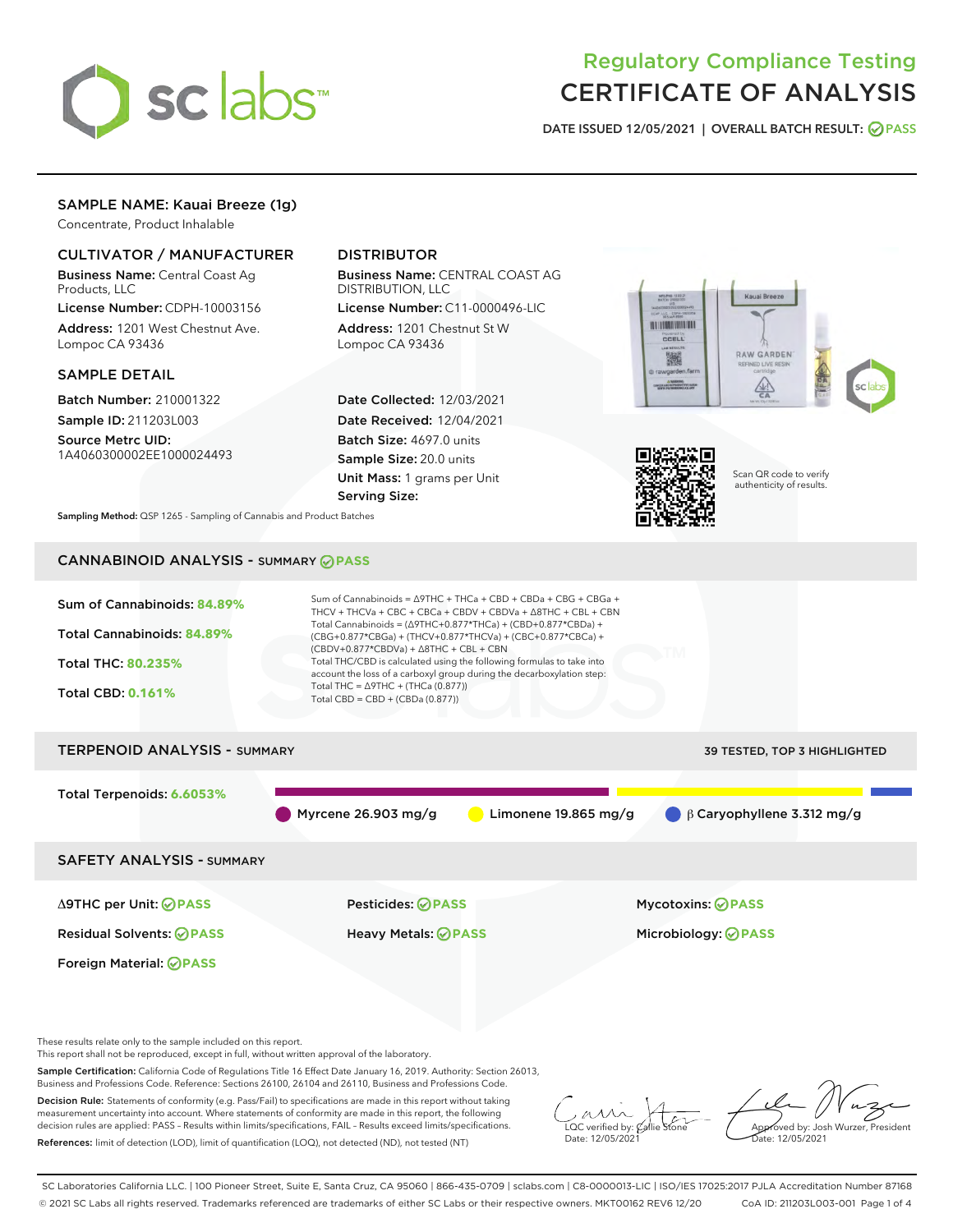

# Regulatory Compliance Testing CERTIFICATE OF ANALYSIS

DATE ISSUED 12/05/2021 | OVERALL BATCH RESULT: @ PASS

## SAMPLE NAME: Kauai Breeze (1g)

Concentrate, Product Inhalable

## CULTIVATOR / MANUFACTURER

Business Name: Central Coast Ag Products, LLC

License Number: CDPH-10003156 Address: 1201 West Chestnut Ave. Lompoc CA 93436

#### SAMPLE DETAIL

Batch Number: 210001322 Sample ID: 211203L003

Source Metrc UID: 1A4060300002EE1000024493

## DISTRIBUTOR

Business Name: CENTRAL COAST AG DISTRIBUTION, LLC

License Number: C11-0000496-LIC Address: 1201 Chestnut St W Lompoc CA 93436

Date Collected: 12/03/2021 Date Received: 12/04/2021 Batch Size: 4697.0 units Sample Size: 20.0 units Unit Mass: 1 grams per Unit Serving Size:





Scan QR code to verify authenticity of results.

Sampling Method: QSP 1265 - Sampling of Cannabis and Product Batches

## CANNABINOID ANALYSIS - SUMMARY **PASS**



Sample Certification: California Code of Regulations Title 16 Effect Date January 16, 2019. Authority: Section 26013, Business and Professions Code. Reference: Sections 26100, 26104 and 26110, Business and Professions Code.

Decision Rule: Statements of conformity (e.g. Pass/Fail) to specifications are made in this report without taking measurement uncertainty into account. Where statements of conformity are made in this report, the following decision rules are applied: PASS – Results within limits/specifications, FAIL – Results exceed limits/specifications. References: limit of detection (LOD), limit of quantification (LOQ), not detected (ND), not tested (NT)

 $\overline{\text{C}}$  verified by:  $\mathcal C$ Date: 12/05/2021

Approved by: Josh Wurzer, President ate: 12/05/2021

SC Laboratories California LLC. | 100 Pioneer Street, Suite E, Santa Cruz, CA 95060 | 866-435-0709 | sclabs.com | C8-0000013-LIC | ISO/IES 17025:2017 PJLA Accreditation Number 87168 © 2021 SC Labs all rights reserved. Trademarks referenced are trademarks of either SC Labs or their respective owners. MKT00162 REV6 12/20 CoA ID: 211203L003-001 Page 1 of 4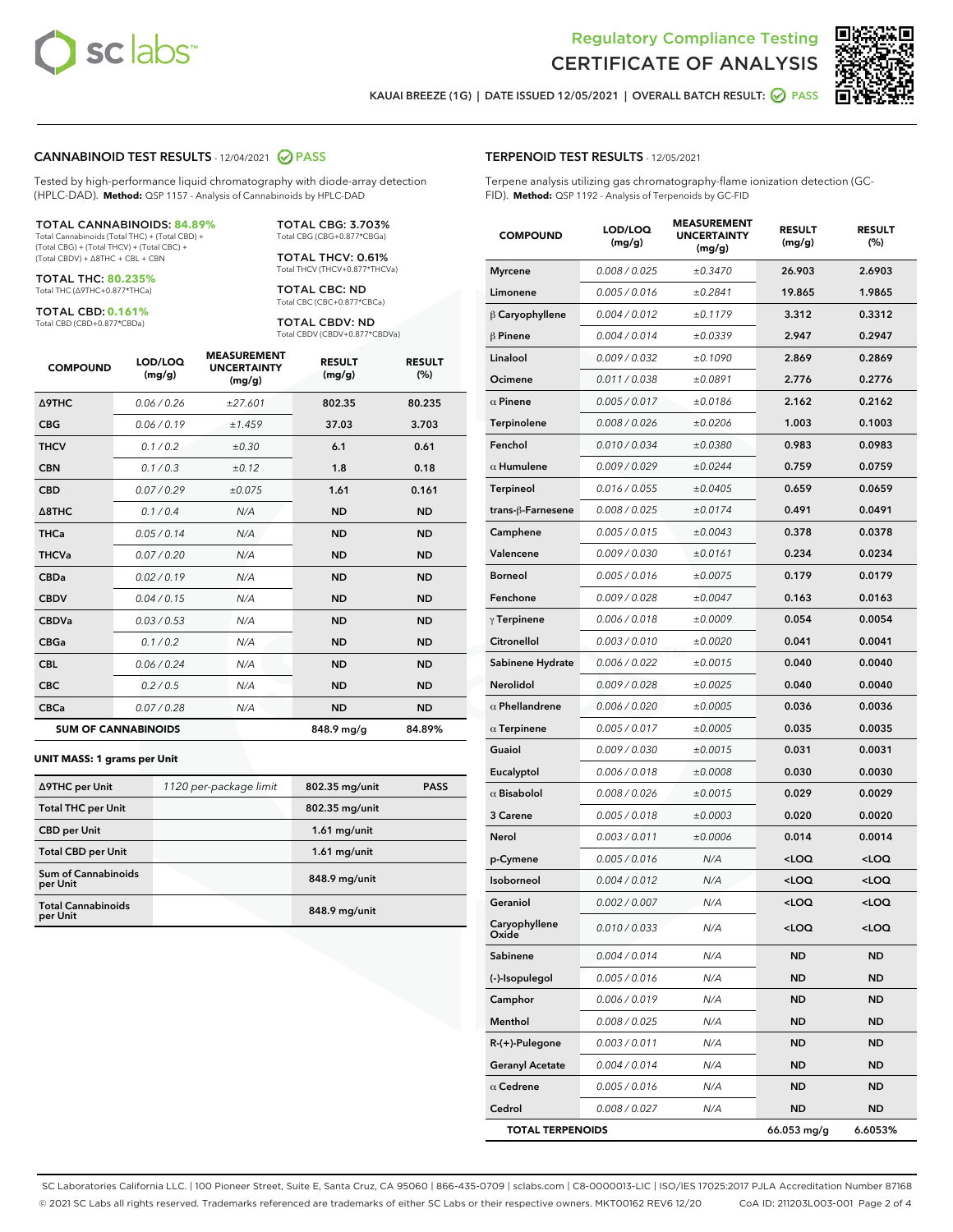



KAUAI BREEZE (1G) | DATE ISSUED 12/05/2021 | OVERALL BATCH RESULT:  $\bigcirc$  PASS

#### CANNABINOID TEST RESULTS - 12/04/2021 2 PASS

Tested by high-performance liquid chromatography with diode-array detection (HPLC-DAD). **Method:** QSP 1157 - Analysis of Cannabinoids by HPLC-DAD

#### TOTAL CANNABINOIDS: **84.89%**

Total Cannabinoids (Total THC) + (Total CBD) + (Total CBG) + (Total THCV) + (Total CBC) + (Total CBDV) + ∆8THC + CBL + CBN

TOTAL THC: **80.235%** Total THC (∆9THC+0.877\*THCa)

TOTAL CBD: **0.161%**

Total CBD (CBD+0.877\*CBDa)

TOTAL CBG: 3.703% Total CBG (CBG+0.877\*CBGa)

TOTAL THCV: 0.61% Total THCV (THCV+0.877\*THCVa)

TOTAL CBC: ND Total CBC (CBC+0.877\*CBCa)

TOTAL CBDV: ND Total CBDV (CBDV+0.877\*CBDVa)

| <b>COMPOUND</b>  | LOD/LOQ<br>(mg/g)          | <b>MEASUREMENT</b><br><b>UNCERTAINTY</b><br>(mg/g) | <b>RESULT</b><br>(mg/g) | <b>RESULT</b><br>(%) |
|------------------|----------------------------|----------------------------------------------------|-------------------------|----------------------|
| <b>A9THC</b>     | 0.06/0.26                  | ±27.601                                            | 802.35                  | 80.235               |
| <b>CBG</b>       | 0.06/0.19                  | ±1.459                                             | 37.03                   | 3.703                |
| <b>THCV</b>      | 0.1/0.2                    | ±0.30                                              | 6.1                     | 0.61                 |
| <b>CBN</b>       | 0.1/0.3                    | ±0.12                                              | 1.8                     | 0.18                 |
| <b>CBD</b>       | 0.07/0.29                  | ±0.075                                             | 1.61                    | 0.161                |
| $\triangle$ 8THC | 0.1/0.4                    | N/A                                                | <b>ND</b>               | <b>ND</b>            |
| <b>THCa</b>      | 0.05/0.14                  | N/A                                                | <b>ND</b>               | <b>ND</b>            |
| <b>THCVa</b>     | 0.07/0.20                  | N/A                                                | <b>ND</b>               | <b>ND</b>            |
| <b>CBDa</b>      | 0.02/0.19                  | N/A                                                | <b>ND</b>               | <b>ND</b>            |
| <b>CBDV</b>      | 0.04/0.15                  | N/A                                                | <b>ND</b>               | <b>ND</b>            |
| <b>CBDVa</b>     | 0.03/0.53                  | N/A                                                | <b>ND</b>               | <b>ND</b>            |
| <b>CBGa</b>      | 0.1/0.2                    | N/A                                                | <b>ND</b>               | <b>ND</b>            |
| <b>CBL</b>       | 0.06 / 0.24                | N/A                                                | <b>ND</b>               | <b>ND</b>            |
| <b>CBC</b>       | 0.2 / 0.5                  | N/A                                                | <b>ND</b>               | <b>ND</b>            |
| <b>CBCa</b>      | 0.07/0.28                  | N/A                                                | <b>ND</b>               | <b>ND</b>            |
|                  | <b>SUM OF CANNABINOIDS</b> |                                                    | 848.9 mg/g              | 84.89%               |

#### **UNIT MASS: 1 grams per Unit**

| ∆9THC per Unit                         | 1120 per-package limit | 802.35 mg/unit | <b>PASS</b> |
|----------------------------------------|------------------------|----------------|-------------|
| <b>Total THC per Unit</b>              |                        | 802.35 mg/unit |             |
| <b>CBD per Unit</b>                    |                        | $1.61$ mg/unit |             |
| <b>Total CBD per Unit</b>              |                        | $1.61$ mg/unit |             |
| <b>Sum of Cannabinoids</b><br>per Unit |                        | 848.9 mg/unit  |             |
| <b>Total Cannabinoids</b><br>per Unit  |                        | 848.9 mg/unit  |             |

| <b>COMPOUND</b>         | LOD/LOQ<br>(mg/g) | www.<br><b>UNCERTAINTY</b><br>(mq/q) | <b>RESULT</b><br>(mg/g)                          | <b>RESULT</b><br>(%) |
|-------------------------|-------------------|--------------------------------------|--------------------------------------------------|----------------------|
| <b>Myrcene</b>          | 0.008 / 0.025     | ±0.3470                              | 26.903                                           | 2.6903               |
| Limonene                | 0.005 / 0.016     | ±0.2841                              | 19.865                                           | 1.9865               |
| $\beta$ Caryophyllene   | 0.004 / 0.012     | ±0.1179                              | 3.312                                            | 0.3312               |
| $\beta$ Pinene          | 0.004 / 0.014     | ±0.0339                              | 2.947                                            | 0.2947               |
| Linalool                | 0.009 / 0.032     | ±0.1090                              | 2.869                                            | 0.2869               |
| Ocimene                 | 0.011 / 0.038     | ±0.0891                              | 2.776                                            | 0.2776               |
| $\alpha$ Pinene         | 0.005 / 0.017     | ±0.0186                              | 2.162                                            | 0.2162               |
| Terpinolene             | 0.008 / 0.026     | ±0.0206                              | 1.003                                            | 0.1003               |
| Fenchol                 | 0.010 / 0.034     | ±0.0380                              | 0.983                                            | 0.0983               |
| $\alpha$ Humulene       | 0.009 / 0.029     | ±0.0244                              | 0.759                                            | 0.0759               |
| <b>Terpineol</b>        | 0.016 / 0.055     | ±0.0405                              | 0.659                                            | 0.0659               |
| trans-ß-Farnesene       | 0.008 / 0.025     | ±0.0174                              | 0.491                                            | 0.0491               |
| Camphene                | 0.005 / 0.015     | ±0.0043                              | 0.378                                            | 0.0378               |
| Valencene               | 0.009 / 0.030     | ±0.0161                              | 0.234                                            | 0.0234               |
| <b>Borneol</b>          | 0.005 / 0.016     | ±0.0075                              | 0.179                                            | 0.0179               |
| Fenchone                | 0.009 / 0.028     | ±0.0047                              | 0.163                                            | 0.0163               |
| $\gamma$ Terpinene      | 0.006 / 0.018     | ±0.0009                              | 0.054                                            | 0.0054               |
| Citronellol             | 0.003 / 0.010     | ±0.0020                              | 0.041                                            | 0.0041               |
| Sabinene Hydrate        | 0.006 / 0.022     | ±0.0015                              | 0.040                                            | 0.0040               |
| Nerolidol               | 0.009 / 0.028     | ±0.0025                              | 0.040                                            | 0.0040               |
| $\alpha$ Phellandrene   | 0.006 / 0.020     | ±0.0005                              | 0.036                                            | 0.0036               |
| $\alpha$ Terpinene      | 0.005 / 0.017     | ±0.0005                              | 0.035                                            | 0.0035               |
| Guaiol                  | 0.009 / 0.030     | ±0.0015                              | 0.031                                            | 0.0031               |
| Eucalyptol              | 0.006 / 0.018     | ±0.0008                              | 0.030                                            | 0.0030               |
| $\alpha$ Bisabolol      | 0.008 / 0.026     | ±0.0015                              | 0.029                                            | 0.0029               |
| 3 Carene                | 0.005 / 0.018     | ±0.0003                              | 0.020                                            | 0.0020               |
| Nerol                   | 0.003/0.011       | ±0.0006                              | 0.014                                            | 0.0014               |
| p-Cymene                | 0.005 / 0.016     | N/A                                  | <loq< th=""><th><math>&lt;</math>LOQ</th></loq<> | $<$ LOQ              |
| Isoborneol              | 0.004 / 0.012     | N/A                                  | $<$ LOQ                                          | <loq< th=""></loq<>  |
| Geraniol                | 0.002 / 0.007     | N/A                                  | <loq< th=""><th><loq< th=""></loq<></th></loq<>  | <loq< th=""></loq<>  |
| Caryophyllene<br>Oxide  | 0.010 / 0.033     | N/A                                  | <loq< th=""><th><math>&lt;</math>LOQ</th></loq<> | $<$ LOQ              |
| Sabinene                | 0.004 / 0.014     | N/A                                  | <b>ND</b>                                        | ND                   |
| (-)-Isopulegol          | 0.005 / 0.016     | N/A                                  | ND                                               | ND                   |
| Camphor                 | 0.006 / 0.019     | N/A                                  | ND                                               | ND                   |
| Menthol                 | 0.008 / 0.025     | N/A                                  | ND                                               | ND                   |
| $R-(+)$ -Pulegone       | 0.003 / 0.011     | N/A                                  | ND                                               | ND                   |
| <b>Geranyl Acetate</b>  | 0.004 / 0.014     | N/A                                  | ND                                               | ND                   |
| $\alpha$ Cedrene        | 0.005 / 0.016     | N/A                                  | ND                                               | ND                   |
| Cedrol                  | 0.008 / 0.027     | N/A                                  | ND                                               | ND                   |
| <b>TOTAL TERPENOIDS</b> |                   |                                      | 66.053 mg/g                                      | 6.6053%              |

SC Laboratories California LLC. | 100 Pioneer Street, Suite E, Santa Cruz, CA 95060 | 866-435-0709 | sclabs.com | C8-0000013-LIC | ISO/IES 17025:2017 PJLA Accreditation Number 87168 © 2021 SC Labs all rights reserved. Trademarks referenced are trademarks of either SC Labs or their respective owners. MKT00162 REV6 12/20 CoA ID: 211203L003-001 Page 2 of 4

## TERPENOID TEST RESULTS - 12/05/2021

Terpene analysis utilizing gas chromatography-flame ionization detection (GC-FID). **Method:** QSP 1192 - Analysis of Terpenoids by GC-FID

MEACUREMENT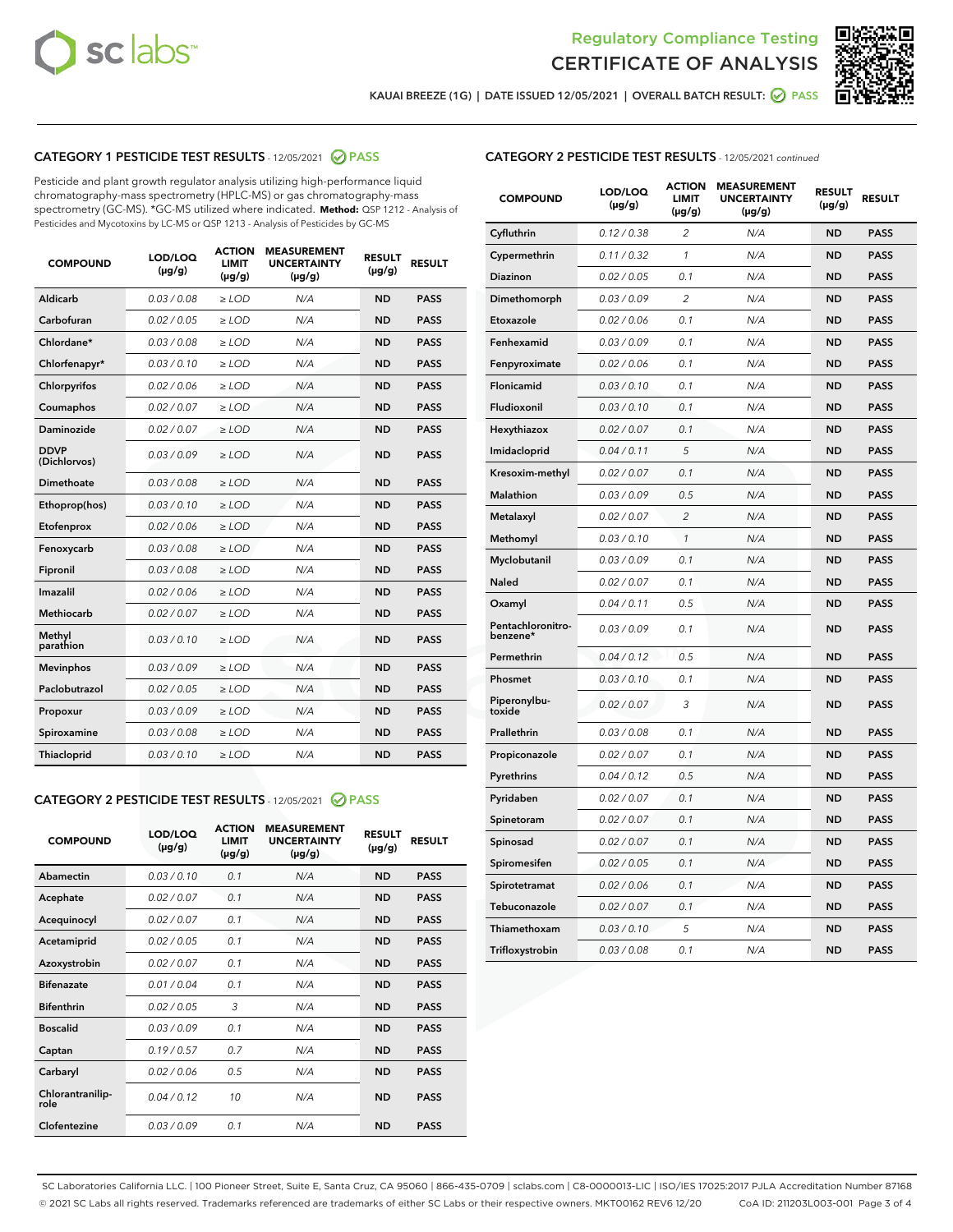



KAUAI BREEZE (1G) | DATE ISSUED 12/05/2021 | OVERALL BATCH RESULT:  $\bigcirc$  PASS

## CATEGORY 1 PESTICIDE TEST RESULTS - 12/05/2021 2 PASS

Pesticide and plant growth regulator analysis utilizing high-performance liquid chromatography-mass spectrometry (HPLC-MS) or gas chromatography-mass spectrometry (GC-MS). \*GC-MS utilized where indicated. **Method:** QSP 1212 - Analysis of Pesticides and Mycotoxins by LC-MS or QSP 1213 - Analysis of Pesticides by GC-MS

| 0.03 / 0.08<br><b>ND</b><br><b>PASS</b><br>Aldicarb<br>$\ge$ LOD<br>N/A<br>Carbofuran<br>0.02 / 0.05<br>$\ge$ LOD<br>N/A<br><b>ND</b><br><b>PASS</b><br>Chlordane*<br>0.03 / 0.08<br>$\ge$ LOD<br>N/A<br><b>ND</b><br><b>PASS</b><br>Chlorfenapyr*<br>0.03/0.10<br>$\ge$ LOD<br>N/A<br><b>ND</b><br><b>PASS</b><br>Chlorpyrifos<br>0.02 / 0.06<br>N/A<br><b>ND</b><br><b>PASS</b><br>$\ge$ LOD<br>Coumaphos<br>0.02 / 0.07<br>N/A<br><b>ND</b><br><b>PASS</b><br>$\ge$ LOD<br>Daminozide<br>0.02 / 0.07<br>N/A<br><b>ND</b><br><b>PASS</b><br>$\ge$ LOD<br><b>DDVP</b><br>0.03/0.09<br>$>$ LOD<br>N/A<br><b>ND</b><br><b>PASS</b><br>(Dichlorvos)<br>Dimethoate<br>0.03 / 0.08<br>$\ge$ LOD<br><b>ND</b><br><b>PASS</b><br>N/A<br>0.03/0.10<br>N/A<br><b>ND</b><br><b>PASS</b><br>Ethoprop(hos)<br>$>$ LOD<br>0.02 / 0.06<br>N/A<br><b>ND</b><br><b>PASS</b><br>$\ge$ LOD<br>Etofenprox<br>Fenoxycarb<br>0.03 / 0.08<br>$\ge$ LOD<br>N/A<br><b>ND</b><br><b>PASS</b><br>0.03 / 0.08<br>$\ge$ LOD<br>N/A<br><b>ND</b><br><b>PASS</b><br>Fipronil<br>Imazalil<br>0.02 / 0.06<br>$>$ LOD<br>N/A<br><b>ND</b><br><b>PASS</b><br><b>Methiocarb</b><br>0.02 / 0.07<br>$\ge$ LOD<br>N/A<br><b>ND</b><br><b>PASS</b><br>Methyl<br>0.03/0.10<br>N/A<br><b>ND</b><br><b>PASS</b><br>$\ge$ LOD<br>parathion<br>0.03/0.09<br><b>Mevinphos</b><br>$\ge$ LOD<br>N/A<br><b>ND</b><br><b>PASS</b><br>Paclobutrazol<br>0.02 / 0.05<br>$>$ LOD<br>N/A<br><b>ND</b><br><b>PASS</b><br>0.03/0.09<br>N/A<br>$\ge$ LOD<br><b>ND</b><br><b>PASS</b><br>Propoxur<br>0.03 / 0.08<br><b>ND</b><br><b>PASS</b><br>Spiroxamine<br>$\ge$ LOD<br>N/A<br>Thiacloprid<br>0.03/0.10<br>$\ge$ LOD<br>N/A<br><b>ND</b><br><b>PASS</b> | <b>COMPOUND</b> | LOD/LOQ<br>$(\mu g/g)$ | <b>ACTION</b><br><b>LIMIT</b><br>$(\mu g/g)$ | <b>MEASUREMENT</b><br><b>UNCERTAINTY</b><br>$(\mu g/g)$ | <b>RESULT</b><br>$(\mu g/g)$ | <b>RESULT</b> |
|----------------------------------------------------------------------------------------------------------------------------------------------------------------------------------------------------------------------------------------------------------------------------------------------------------------------------------------------------------------------------------------------------------------------------------------------------------------------------------------------------------------------------------------------------------------------------------------------------------------------------------------------------------------------------------------------------------------------------------------------------------------------------------------------------------------------------------------------------------------------------------------------------------------------------------------------------------------------------------------------------------------------------------------------------------------------------------------------------------------------------------------------------------------------------------------------------------------------------------------------------------------------------------------------------------------------------------------------------------------------------------------------------------------------------------------------------------------------------------------------------------------------------------------------------------------------------------------------------------------------------------------------------------------------------------------------------|-----------------|------------------------|----------------------------------------------|---------------------------------------------------------|------------------------------|---------------|
|                                                                                                                                                                                                                                                                                                                                                                                                                                                                                                                                                                                                                                                                                                                                                                                                                                                                                                                                                                                                                                                                                                                                                                                                                                                                                                                                                                                                                                                                                                                                                                                                                                                                                                    |                 |                        |                                              |                                                         |                              |               |
|                                                                                                                                                                                                                                                                                                                                                                                                                                                                                                                                                                                                                                                                                                                                                                                                                                                                                                                                                                                                                                                                                                                                                                                                                                                                                                                                                                                                                                                                                                                                                                                                                                                                                                    |                 |                        |                                              |                                                         |                              |               |
|                                                                                                                                                                                                                                                                                                                                                                                                                                                                                                                                                                                                                                                                                                                                                                                                                                                                                                                                                                                                                                                                                                                                                                                                                                                                                                                                                                                                                                                                                                                                                                                                                                                                                                    |                 |                        |                                              |                                                         |                              |               |
|                                                                                                                                                                                                                                                                                                                                                                                                                                                                                                                                                                                                                                                                                                                                                                                                                                                                                                                                                                                                                                                                                                                                                                                                                                                                                                                                                                                                                                                                                                                                                                                                                                                                                                    |                 |                        |                                              |                                                         |                              |               |
|                                                                                                                                                                                                                                                                                                                                                                                                                                                                                                                                                                                                                                                                                                                                                                                                                                                                                                                                                                                                                                                                                                                                                                                                                                                                                                                                                                                                                                                                                                                                                                                                                                                                                                    |                 |                        |                                              |                                                         |                              |               |
|                                                                                                                                                                                                                                                                                                                                                                                                                                                                                                                                                                                                                                                                                                                                                                                                                                                                                                                                                                                                                                                                                                                                                                                                                                                                                                                                                                                                                                                                                                                                                                                                                                                                                                    |                 |                        |                                              |                                                         |                              |               |
|                                                                                                                                                                                                                                                                                                                                                                                                                                                                                                                                                                                                                                                                                                                                                                                                                                                                                                                                                                                                                                                                                                                                                                                                                                                                                                                                                                                                                                                                                                                                                                                                                                                                                                    |                 |                        |                                              |                                                         |                              |               |
|                                                                                                                                                                                                                                                                                                                                                                                                                                                                                                                                                                                                                                                                                                                                                                                                                                                                                                                                                                                                                                                                                                                                                                                                                                                                                                                                                                                                                                                                                                                                                                                                                                                                                                    |                 |                        |                                              |                                                         |                              |               |
|                                                                                                                                                                                                                                                                                                                                                                                                                                                                                                                                                                                                                                                                                                                                                                                                                                                                                                                                                                                                                                                                                                                                                                                                                                                                                                                                                                                                                                                                                                                                                                                                                                                                                                    |                 |                        |                                              |                                                         |                              |               |
|                                                                                                                                                                                                                                                                                                                                                                                                                                                                                                                                                                                                                                                                                                                                                                                                                                                                                                                                                                                                                                                                                                                                                                                                                                                                                                                                                                                                                                                                                                                                                                                                                                                                                                    |                 |                        |                                              |                                                         |                              |               |
|                                                                                                                                                                                                                                                                                                                                                                                                                                                                                                                                                                                                                                                                                                                                                                                                                                                                                                                                                                                                                                                                                                                                                                                                                                                                                                                                                                                                                                                                                                                                                                                                                                                                                                    |                 |                        |                                              |                                                         |                              |               |
|                                                                                                                                                                                                                                                                                                                                                                                                                                                                                                                                                                                                                                                                                                                                                                                                                                                                                                                                                                                                                                                                                                                                                                                                                                                                                                                                                                                                                                                                                                                                                                                                                                                                                                    |                 |                        |                                              |                                                         |                              |               |
|                                                                                                                                                                                                                                                                                                                                                                                                                                                                                                                                                                                                                                                                                                                                                                                                                                                                                                                                                                                                                                                                                                                                                                                                                                                                                                                                                                                                                                                                                                                                                                                                                                                                                                    |                 |                        |                                              |                                                         |                              |               |
|                                                                                                                                                                                                                                                                                                                                                                                                                                                                                                                                                                                                                                                                                                                                                                                                                                                                                                                                                                                                                                                                                                                                                                                                                                                                                                                                                                                                                                                                                                                                                                                                                                                                                                    |                 |                        |                                              |                                                         |                              |               |
|                                                                                                                                                                                                                                                                                                                                                                                                                                                                                                                                                                                                                                                                                                                                                                                                                                                                                                                                                                                                                                                                                                                                                                                                                                                                                                                                                                                                                                                                                                                                                                                                                                                                                                    |                 |                        |                                              |                                                         |                              |               |
|                                                                                                                                                                                                                                                                                                                                                                                                                                                                                                                                                                                                                                                                                                                                                                                                                                                                                                                                                                                                                                                                                                                                                                                                                                                                                                                                                                                                                                                                                                                                                                                                                                                                                                    |                 |                        |                                              |                                                         |                              |               |
|                                                                                                                                                                                                                                                                                                                                                                                                                                                                                                                                                                                                                                                                                                                                                                                                                                                                                                                                                                                                                                                                                                                                                                                                                                                                                                                                                                                                                                                                                                                                                                                                                                                                                                    |                 |                        |                                              |                                                         |                              |               |
|                                                                                                                                                                                                                                                                                                                                                                                                                                                                                                                                                                                                                                                                                                                                                                                                                                                                                                                                                                                                                                                                                                                                                                                                                                                                                                                                                                                                                                                                                                                                                                                                                                                                                                    |                 |                        |                                              |                                                         |                              |               |
|                                                                                                                                                                                                                                                                                                                                                                                                                                                                                                                                                                                                                                                                                                                                                                                                                                                                                                                                                                                                                                                                                                                                                                                                                                                                                                                                                                                                                                                                                                                                                                                                                                                                                                    |                 |                        |                                              |                                                         |                              |               |
|                                                                                                                                                                                                                                                                                                                                                                                                                                                                                                                                                                                                                                                                                                                                                                                                                                                                                                                                                                                                                                                                                                                                                                                                                                                                                                                                                                                                                                                                                                                                                                                                                                                                                                    |                 |                        |                                              |                                                         |                              |               |
|                                                                                                                                                                                                                                                                                                                                                                                                                                                                                                                                                                                                                                                                                                                                                                                                                                                                                                                                                                                                                                                                                                                                                                                                                                                                                                                                                                                                                                                                                                                                                                                                                                                                                                    |                 |                        |                                              |                                                         |                              |               |

#### CATEGORY 2 PESTICIDE TEST RESULTS - 12/05/2021 @ PASS

| <b>COMPOUND</b>          | LOD/LOQ<br>$(\mu g/g)$ | <b>ACTION</b><br><b>LIMIT</b><br>$(\mu g/g)$ | <b>MEASUREMENT</b><br><b>UNCERTAINTY</b><br>$(\mu g/g)$ | <b>RESULT</b><br>$(\mu g/g)$ | <b>RESULT</b> |
|--------------------------|------------------------|----------------------------------------------|---------------------------------------------------------|------------------------------|---------------|
| Abamectin                | 0.03/0.10              | 0.1                                          | N/A                                                     | <b>ND</b>                    | <b>PASS</b>   |
| Acephate                 | 0.02/0.07              | 0.1                                          | N/A                                                     | <b>ND</b>                    | <b>PASS</b>   |
| Acequinocyl              | 0.02/0.07              | 0.1                                          | N/A                                                     | <b>ND</b>                    | <b>PASS</b>   |
| Acetamiprid              | 0.02/0.05              | 0.1                                          | N/A                                                     | <b>ND</b>                    | <b>PASS</b>   |
| Azoxystrobin             | 0.02/0.07              | 0.1                                          | N/A                                                     | <b>ND</b>                    | <b>PASS</b>   |
| <b>Bifenazate</b>        | 0.01/0.04              | 0.1                                          | N/A                                                     | <b>ND</b>                    | <b>PASS</b>   |
| <b>Bifenthrin</b>        | 0.02 / 0.05            | 3                                            | N/A                                                     | <b>ND</b>                    | <b>PASS</b>   |
| <b>Boscalid</b>          | 0.03/0.09              | 0.1                                          | N/A                                                     | <b>ND</b>                    | <b>PASS</b>   |
| Captan                   | 0.19/0.57              | 0.7                                          | N/A                                                     | <b>ND</b>                    | <b>PASS</b>   |
| Carbaryl                 | 0.02/0.06              | 0.5                                          | N/A                                                     | <b>ND</b>                    | <b>PASS</b>   |
| Chlorantranilip-<br>role | 0.04/0.12              | 10                                           | N/A                                                     | <b>ND</b>                    | <b>PASS</b>   |
| Clofentezine             | 0.03/0.09              | 0.1                                          | N/A                                                     | <b>ND</b>                    | <b>PASS</b>   |

## CATEGORY 2 PESTICIDE TEST RESULTS - 12/05/2021 continued

| <b>COMPOUND</b>               | LOD/LOQ<br>(µg/g) | <b>ACTION</b><br><b>LIMIT</b><br>$(\mu g/g)$ | <b>MEASUREMENT</b><br><b>UNCERTAINTY</b><br>$(\mu g/g)$ | <b>RESULT</b><br>(µg/g) | <b>RESULT</b> |
|-------------------------------|-------------------|----------------------------------------------|---------------------------------------------------------|-------------------------|---------------|
| Cyfluthrin                    | 0.12 / 0.38       | $\overline{c}$                               | N/A                                                     | ND                      | <b>PASS</b>   |
| Cypermethrin                  | 0.11 / 0.32       | $\mathcal{I}$                                | N/A                                                     | ND                      | <b>PASS</b>   |
| Diazinon                      | 0.02 / 0.05       | 0.1                                          | N/A                                                     | <b>ND</b>               | <b>PASS</b>   |
| Dimethomorph                  | 0.03 / 0.09       | $\overline{2}$                               | N/A                                                     | ND                      | <b>PASS</b>   |
| Etoxazole                     | 0.02 / 0.06       | 0.1                                          | N/A                                                     | ND                      | <b>PASS</b>   |
| Fenhexamid                    | 0.03 / 0.09       | 0.1                                          | N/A                                                     | <b>ND</b>               | <b>PASS</b>   |
| Fenpyroximate                 | 0.02 / 0.06       | 0.1                                          | N/A                                                     | ND                      | <b>PASS</b>   |
| Flonicamid                    | 0.03 / 0.10       | 0.1                                          | N/A                                                     | ND                      | <b>PASS</b>   |
| Fludioxonil                   | 0.03 / 0.10       | 0.1                                          | N/A                                                     | ND                      | <b>PASS</b>   |
| Hexythiazox                   | 0.02 / 0.07       | 0.1                                          | N/A                                                     | ND                      | <b>PASS</b>   |
| Imidacloprid                  | 0.04 / 0.11       | 5                                            | N/A                                                     | ND                      | <b>PASS</b>   |
| Kresoxim-methyl               | 0.02 / 0.07       | 0.1                                          | N/A                                                     | ND                      | <b>PASS</b>   |
| <b>Malathion</b>              | 0.03 / 0.09       | 0.5                                          | N/A                                                     | ND                      | <b>PASS</b>   |
| Metalaxyl                     | 0.02 / 0.07       | $\overline{c}$                               | N/A                                                     | ND                      | <b>PASS</b>   |
| Methomyl                      | 0.03 / 0.10       | 1                                            | N/A                                                     | <b>ND</b>               | <b>PASS</b>   |
| Myclobutanil                  | 0.03 / 0.09       | 0.1                                          | N/A                                                     | ND                      | <b>PASS</b>   |
| Naled                         | 0.02 / 0.07       | 0.1                                          | N/A                                                     | ND                      | <b>PASS</b>   |
| Oxamyl                        | 0.04 / 0.11       | 0.5                                          | N/A                                                     | ND                      | <b>PASS</b>   |
| Pentachloronitro-<br>benzene* | 0.03 / 0.09       | 0.1                                          | N/A                                                     | ND                      | <b>PASS</b>   |
| Permethrin                    | 0.04 / 0.12       | 0.5                                          | N/A                                                     | ND                      | <b>PASS</b>   |
| Phosmet                       | 0.03 / 0.10       | 0.1                                          | N/A                                                     | ND                      | <b>PASS</b>   |
| Piperonylbu-<br>toxide        | 0.02 / 0.07       | 3                                            | N/A                                                     | ND                      | <b>PASS</b>   |
| Prallethrin                   | 0.03 / 0.08       | 0.1                                          | N/A                                                     | ND                      | <b>PASS</b>   |
| Propiconazole                 | 0.02 / 0.07       | 0.1                                          | N/A                                                     | ND                      | <b>PASS</b>   |
| Pyrethrins                    | 0.04 / 0.12       | 0.5                                          | N/A                                                     | ND                      | <b>PASS</b>   |
| Pyridaben                     | 0.02 / 0.07       | 0.1                                          | N/A                                                     | ND                      | <b>PASS</b>   |
| Spinetoram                    | 0.02 / 0.07       | 0.1                                          | N/A                                                     | ND                      | <b>PASS</b>   |
| Spinosad                      | 0.02 / 0.07       | 0.1                                          | N/A                                                     | ND                      | <b>PASS</b>   |
| Spiromesifen                  | 0.02 / 0.05       | 0.1                                          | N/A                                                     | <b>ND</b>               | <b>PASS</b>   |
| Spirotetramat                 | 0.02 / 0.06       | 0.1                                          | N/A                                                     | ND                      | <b>PASS</b>   |
| Tebuconazole                  | 0.02 / 0.07       | 0.1                                          | N/A                                                     | ND                      | <b>PASS</b>   |
| Thiamethoxam                  | 0.03 / 0.10       | 5                                            | N/A                                                     | ND                      | <b>PASS</b>   |
| Trifloxystrobin               | 0.03 / 0.08       | 0.1                                          | N/A                                                     | <b>ND</b>               | <b>PASS</b>   |

SC Laboratories California LLC. | 100 Pioneer Street, Suite E, Santa Cruz, CA 95060 | 866-435-0709 | sclabs.com | C8-0000013-LIC | ISO/IES 17025:2017 PJLA Accreditation Number 87168 © 2021 SC Labs all rights reserved. Trademarks referenced are trademarks of either SC Labs or their respective owners. MKT00162 REV6 12/20 CoA ID: 211203L003-001 Page 3 of 4